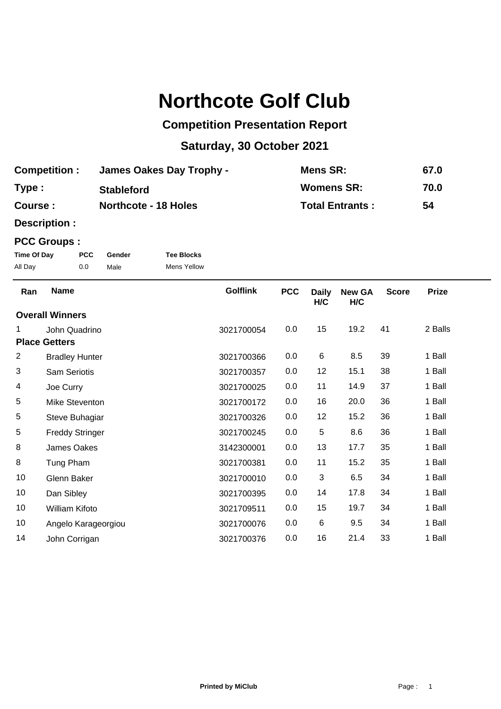## **Northcote Golf Club**

## **Competition Presentation Report**

## **Saturday, 30 October 2021**

| <b>Competition:</b> | <b>James Oakes Day Trophy -</b> | Mens SR:               | 67.0 |
|---------------------|---------------------------------|------------------------|------|
| Type:               | <b>Stableford</b>               | <b>Womens SR:</b>      | 70.0 |
| Course :            | <b>Northcote - 18 Holes</b>     | <b>Total Entrants:</b> | 54   |

**Description :**

## **PCC Groups :**

| Time Of Day | <b>PCC</b> | Gender | <b>Tee Blocks</b>  |
|-------------|------------|--------|--------------------|
| All Day     | 0.0        | Male   | <b>Mens Yellow</b> |

| Ran                  | <b>Name</b>            | <b>Golflink</b> | <b>PCC</b> | <b>Daily</b><br>H/C | <b>New GA</b><br>H/C | <b>Score</b> | <b>Prize</b> |
|----------------------|------------------------|-----------------|------------|---------------------|----------------------|--------------|--------------|
|                      | <b>Overall Winners</b> |                 |            |                     |                      |              |              |
| 1.                   | John Quadrino          | 3021700054      | 0.0        | 15                  | 19.2                 | 41           | 2 Balls      |
| <b>Place Getters</b> |                        |                 |            |                     |                      |              |              |
| 2                    | <b>Bradley Hunter</b>  | 3021700366      | 0.0        | $\,6\,$             | 8.5                  | 39           | 1 Ball       |
| 3                    | Sam Seriotis           | 3021700357      | 0.0        | 12                  | 15.1                 | 38           | 1 Ball       |
| 4                    | Joe Curry              | 3021700025      | 0.0        | 11                  | 14.9                 | 37           | 1 Ball       |
| 5                    | Mike Steventon         | 3021700172      | 0.0        | 16                  | 20.0                 | 36           | 1 Ball       |
| 5                    | Steve Buhagiar         | 3021700326      | 0.0        | 12                  | 15.2                 | 36           | 1 Ball       |
| 5                    | <b>Freddy Stringer</b> | 3021700245      | 0.0        | 5                   | 8.6                  | 36           | 1 Ball       |
| 8                    | James Oakes            | 3142300001      | 0.0        | 13                  | 17.7                 | 35           | 1 Ball       |
| 8                    | Tung Pham              | 3021700381      | 0.0        | 11                  | 15.2                 | 35           | 1 Ball       |
| 10                   | Glenn Baker            | 3021700010      | 0.0        | 3                   | 6.5                  | 34           | 1 Ball       |
| 10                   | Dan Sibley             | 3021700395      | 0.0        | 14                  | 17.8                 | 34           | 1 Ball       |
| 10                   | <b>William Kifoto</b>  | 3021709511      | 0.0        | 15                  | 19.7                 | 34           | 1 Ball       |
| 10                   | Angelo Karageorgiou    | 3021700076      | 0.0        | 6                   | 9.5                  | 34           | 1 Ball       |
| 14                   | John Corrigan          | 3021700376      | 0.0        | 16                  | 21.4                 | 33           | 1 Ball       |